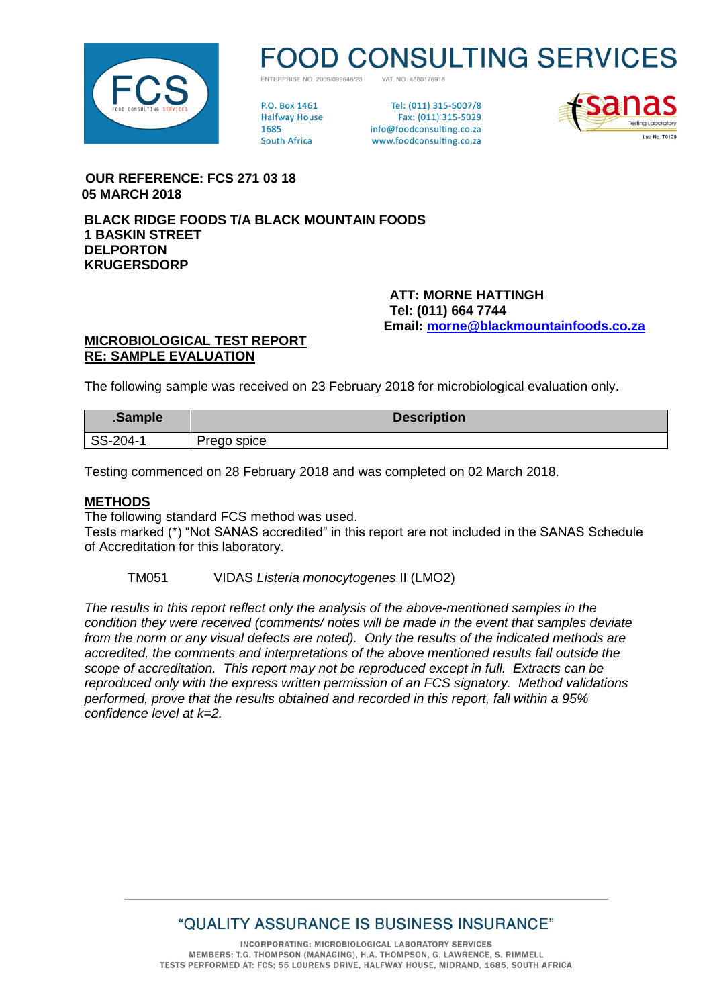

# **D CONSULTING SERVICES**

VAT NO 4860176918 ENTERPRISE NO 2009/099646/23

**PO Rox 1461 Halfway House** 1685 **South Africa** 

Tel: (011) 315-5007/8 Fax: (011) 315-5029 info@foodconsulting.co.za www.foodconsulting.co.za



 **OUR REFERENCE: FCS 271 03 18 05 MARCH 2018**

**BLACK RIDGE FOODS T/A BLACK MOUNTAIN FOODS 1 BASKIN STREET DELPORTON KRUGERSDORP**

> **ATT: MORNE HATTINGH Tel: (011) 664 7744 Email: [morne@blackmountainfoods.co.za](mailto:morne@blackmountainfoods.co.za)**

### **MICROBIOLOGICAL TEST REPORT RE: SAMPLE EVALUATION**

The following sample was received on 23 February 2018 for microbiological evaluation only.

| .Sample  | <b>Description</b> |
|----------|--------------------|
| SS-204-1 | Prego spice        |

Testing commenced on 28 February 2018 and was completed on 02 March 2018.

### **METHODS**

The following standard FCS method was used.

Tests marked (\*) "Not SANAS accredited" in this report are not included in the SANAS Schedule of Accreditation for this laboratory.

TM051 VIDAS *Listeria monocytogenes* II (LMO2)

*The results in this report reflect only the analysis of the above-mentioned samples in the condition they were received (comments/ notes will be made in the event that samples deviate from the norm or any visual defects are noted). Only the results of the indicated methods are accredited, the comments and interpretations of the above mentioned results fall outside the scope of accreditation. This report may not be reproduced except in full. Extracts can be reproduced only with the express written permission of an FCS signatory. Method validations performed, prove that the results obtained and recorded in this report, fall within a 95% confidence level at k=2.*

# "QUALITY ASSURANCE IS BUSINESS INSURANCE"

INCORPORATING: MICROBIOLOGICAL LABORATORY SERVICES MEMBERS: T.G. THOMPSON (MANAGING), H.A. THOMPSON, G. LAWRENCE, S. RIMMELL TESTS PERFORMED AT: FCS; 55 LOURENS DRIVE, HALFWAY HOUSE, MIDRAND, 1685, SOUTH AFRICA